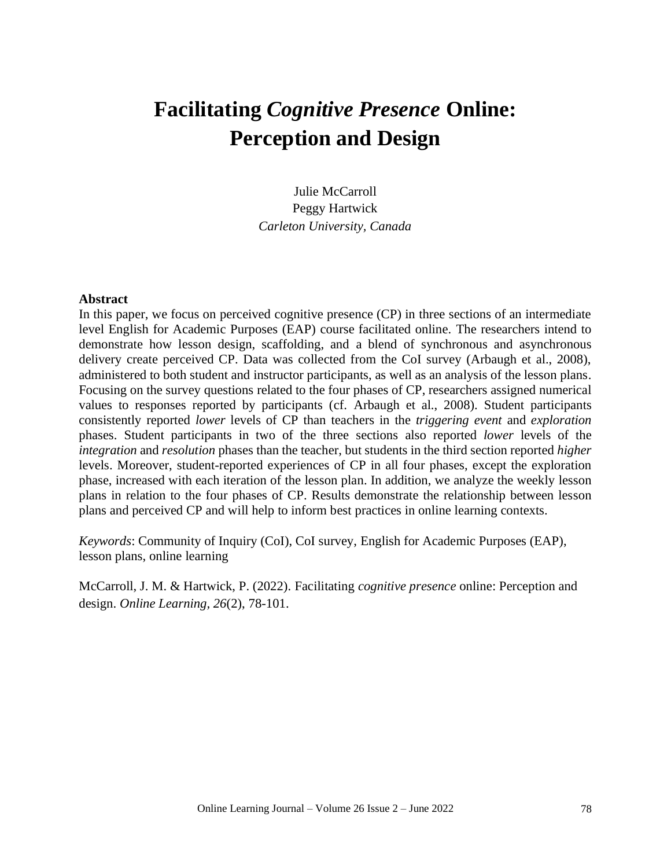# **Facilitating** *Cognitive Presence* **Online: Perception and Design**

Julie McCarroll Peggy Hartwick *Carleton University, Canada*

#### **Abstract**

In this paper, we focus on perceived cognitive presence (CP) in three sections of an intermediate level English for Academic Purposes (EAP) course facilitated online. The researchers intend to demonstrate how lesson design, scaffolding, and a blend of synchronous and asynchronous delivery create perceived CP. Data was collected from the CoI survey (Arbaugh et al., 2008), administered to both student and instructor participants, as well as an analysis of the lesson plans. Focusing on the survey questions related to the four phases of CP, researchers assigned numerical values to responses reported by participants (cf. Arbaugh et al., 2008). Student participants consistently reported *lower* levels of CP than teachers in the *triggering event* and *exploration* phases. Student participants in two of the three sections also reported *lower* levels of the *integration* and *resolution* phases than the teacher, but students in the third section reported *higher*  levels. Moreover, student-reported experiences of CP in all four phases, except the exploration phase, increased with each iteration of the lesson plan. In addition, we analyze the weekly lesson plans in relation to the four phases of CP. Results demonstrate the relationship between lesson plans and perceived CP and will help to inform best practices in online learning contexts.

*Keywords*: Community of Inquiry (CoI), CoI survey, English for Academic Purposes (EAP), lesson plans, online learning

McCarroll, J. M. & Hartwick, P. (2022). Facilitating *cognitive presence* online: Perception and design. *Online Learning, 26*(2), 78-101.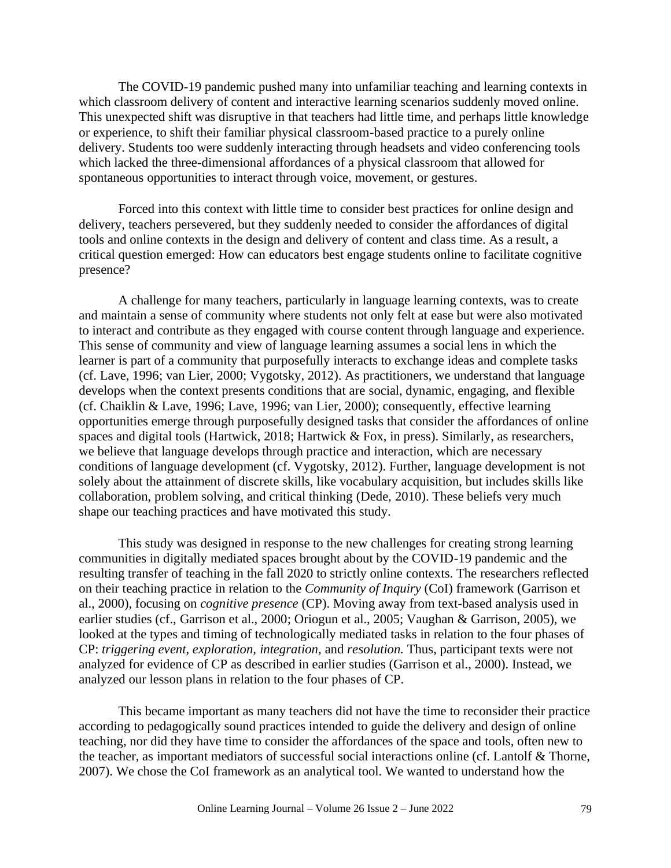The COVID-19 pandemic pushed many into unfamiliar teaching and learning contexts in which classroom delivery of content and interactive learning scenarios suddenly moved online. This unexpected shift was disruptive in that teachers had little time, and perhaps little knowledge or experience, to shift their familiar physical classroom-based practice to a purely online delivery. Students too were suddenly interacting through headsets and video conferencing tools which lacked the three-dimensional affordances of a physical classroom that allowed for spontaneous opportunities to interact through voice, movement, or gestures.

Forced into this context with little time to consider best practices for online design and delivery, teachers persevered, but they suddenly needed to consider the affordances of digital tools and online contexts in the design and delivery of content and class time. As a result, a critical question emerged: How can educators best engage students online to facilitate cognitive presence?

A challenge for many teachers, particularly in language learning contexts, was to create and maintain a sense of community where students not only felt at ease but were also motivated to interact and contribute as they engaged with course content through language and experience. This sense of community and view of language learning assumes a social lens in which the learner is part of a community that purposefully interacts to exchange ideas and complete tasks (cf. Lave, 1996; van Lier, 2000; Vygotsky, 2012). As practitioners, we understand that language develops when the context presents conditions that are social, dynamic, engaging, and flexible (cf. Chaiklin & Lave, 1996; Lave, 1996; van Lier, 2000); consequently, effective learning opportunities emerge through purposefully designed tasks that consider the affordances of online spaces and digital tools (Hartwick, 2018; Hartwick & Fox, in press). Similarly, as researchers, we believe that language develops through practice and interaction, which are necessary conditions of language development (cf. Vygotsky, 2012). Further, language development is not solely about the attainment of discrete skills, like vocabulary acquisition, but includes skills like collaboration, problem solving, and critical thinking (Dede, 2010). These beliefs very much shape our teaching practices and have motivated this study.

This study was designed in response to the new challenges for creating strong learning communities in digitally mediated spaces brought about by the COVID-19 pandemic and the resulting transfer of teaching in the fall 2020 to strictly online contexts. The researchers reflected on their teaching practice in relation to the *Community of Inquiry* (CoI) framework (Garrison et al., 2000), focusing on *cognitive presence* (CP). Moving away from text-based analysis used in earlier studies (cf., Garrison et al., 2000; Oriogun et al., 2005; Vaughan & Garrison, 2005), we looked at the types and timing of technologically mediated tasks in relation to the four phases of CP: *triggering event, exploration, integration,* and *resolution.* Thus, participant texts were not analyzed for evidence of CP as described in earlier studies (Garrison et al., 2000). Instead, we analyzed our lesson plans in relation to the four phases of CP.

This became important as many teachers did not have the time to reconsider their practice according to pedagogically sound practices intended to guide the delivery and design of online teaching, nor did they have time to consider the affordances of the space and tools, often new to the teacher, as important mediators of successful social interactions online (cf. Lantolf & Thorne, 2007). We chose the CoI framework as an analytical tool. We wanted to understand how the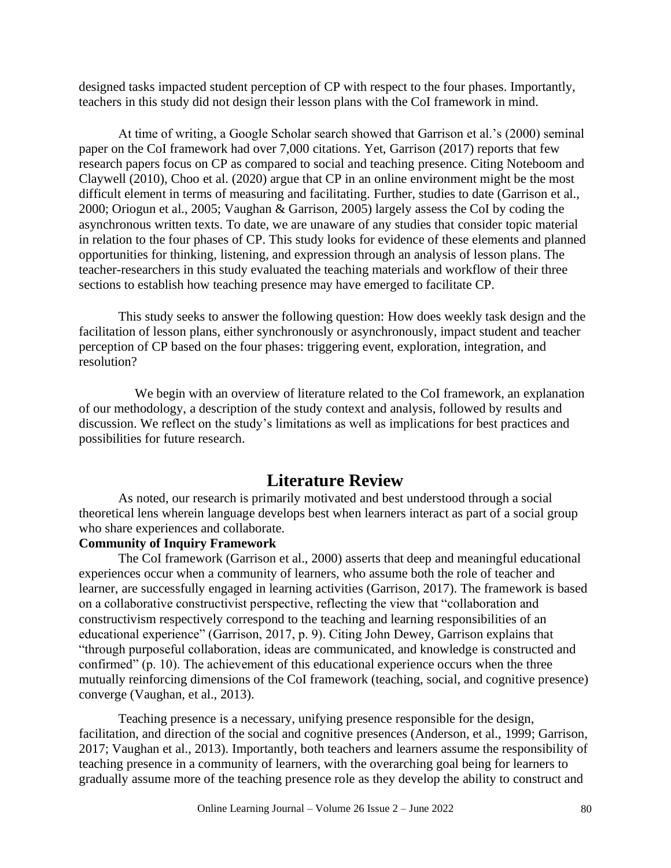designed tasks impacted student perception of CP with respect to the four phases. Importantly, teachers in this study did not design their lesson plans with the CoI framework in mind.

At time of writing, a Google Scholar search showed that Garrison et al.'s (2000) seminal paper on the CoI framework had over 7,000 citations. Yet, Garrison (2017) reports that few research papers focus on CP as compared to social and teaching presence. Citing Noteboom and Claywell (2010), Choo et al. (2020) argue that CP in an online environment might be the most difficult element in terms of measuring and facilitating. Further, studies to date (Garrison et al., 2000; Oriogun et al., 2005; Vaughan & Garrison, 2005) largely assess the CoI by coding the asynchronous written texts. To date, we are unaware of any studies that consider topic material in relation to the four phases of CP. This study looks for evidence of these elements and planned opportunities for thinking, listening, and expression through an analysis of lesson plans. The teacher-researchers in this study evaluated the teaching materials and workflow of their three sections to establish how teaching presence may have emerged to facilitate CP.

This study seeks to answer the following question: How does weekly task design and the facilitation of lesson plans, either synchronously or asynchronously, impact student and teacher perception of CP based on the four phases: triggering event, exploration, integration, and resolution?

We begin with an overview of literature related to the CoI framework, an explanation of our methodology, a description of the study context and analysis, followed by results and discussion. We reflect on the study's limitations as well as implications for best practices and possibilities for future research.

## **Literature Review**

As noted, our research is primarily motivated and best understood through a social theoretical lens wherein language develops best when learners interact as part of a social group who share experiences and collaborate.

#### **Community of Inquiry Framework**

The CoI framework (Garrison et al., 2000) asserts that deep and meaningful educational experiences occur when a community of learners, who assume both the role of teacher and learner, are successfully engaged in learning activities (Garrison, 2017). The framework is based on a collaborative constructivist perspective, reflecting the view that "collaboration and constructivism respectively correspond to the teaching and learning responsibilities of an educational experience" (Garrison, 2017, p. 9). Citing John Dewey, Garrison explains that "through purposeful collaboration, ideas are communicated, and knowledge is constructed and confirmed" (p. 10). The achievement of this educational experience occurs when the three mutually reinforcing dimensions of the CoI framework (teaching, social, and cognitive presence) converge (Vaughan, et al., 2013).

Teaching presence is a necessary, unifying presence responsible for the design, facilitation, and direction of the social and cognitive presences (Anderson, et al., 1999; Garrison, 2017; Vaughan et al., 2013). Importantly, both teachers and learners assume the responsibility of teaching presence in a community of learners, with the overarching goal being for learners to gradually assume more of the teaching presence role as they develop the ability to construct and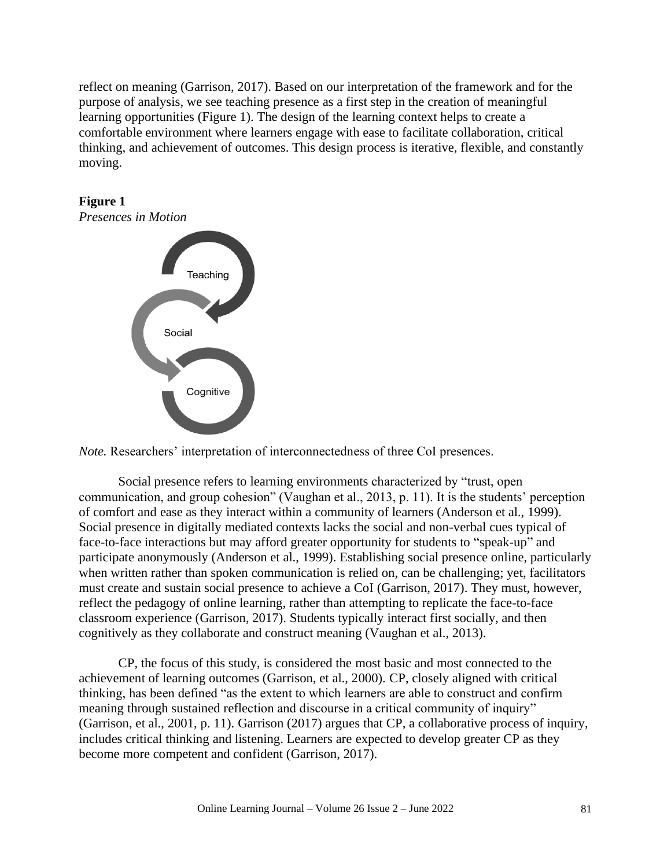reflect on meaning (Garrison, 2017). Based on our interpretation of the framework and for the purpose of analysis, we see teaching presence as a first step in the creation of meaningful learning opportunities (Figure 1). The design of the learning context helps to create a comfortable environment where learners engage with ease to facilitate collaboration, critical thinking, and achievement of outcomes. This design process is iterative, flexible, and constantly moving.



*Note.* Researchers' interpretation of interconnectedness of three CoI presences.

Social presence refers to learning environments characterized by "trust, open communication, and group cohesion" (Vaughan et al., 2013, p. 11). It is the students' perception of comfort and ease as they interact within a community of learners (Anderson et al., 1999). Social presence in digitally mediated contexts lacks the social and non-verbal cues typical of face-to-face interactions but may afford greater opportunity for students to "speak-up" and participate anonymously (Anderson et al., 1999). Establishing social presence online, particularly when written rather than spoken communication is relied on, can be challenging; yet, facilitators must create and sustain social presence to achieve a CoI (Garrison, 2017). They must, however, reflect the pedagogy of online learning, rather than attempting to replicate the face-to-face classroom experience (Garrison, 2017). Students typically interact first socially, and then cognitively as they collaborate and construct meaning (Vaughan et al., 2013).

CP, the focus of this study, is considered the most basic and most connected to the achievement of learning outcomes (Garrison, et al., 2000). CP, closely aligned with critical thinking, has been defined "as the extent to which learners are able to construct and confirm meaning through sustained reflection and discourse in a critical community of inquiry" (Garrison, et al., 2001, p. 11). Garrison (2017) argues that CP, a collaborative process of inquiry, includes critical thinking and listening. Learners are expected to develop greater CP as they become more competent and confident (Garrison, 2017).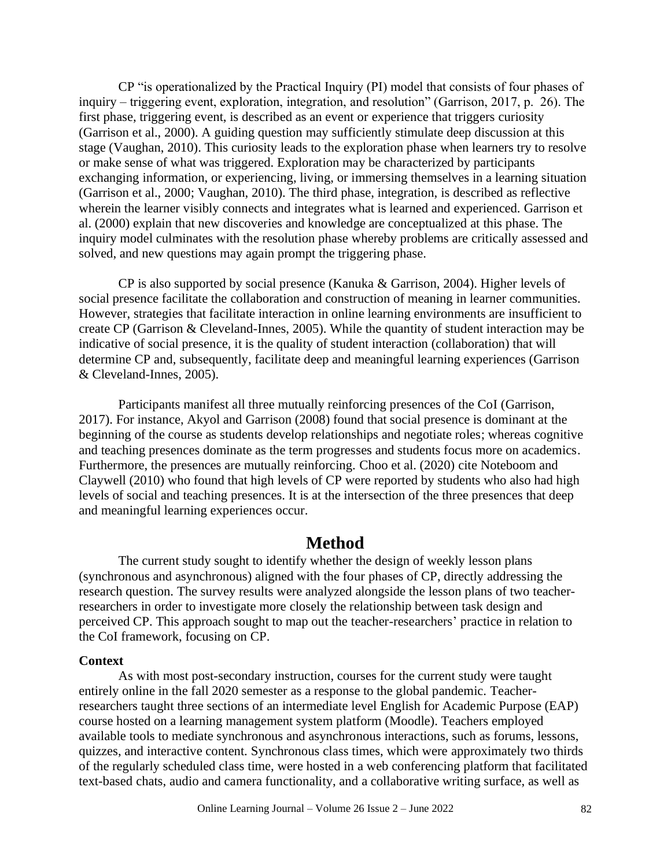CP "is operationalized by the Practical Inquiry (PI) model that consists of four phases of inquiry – triggering event, exploration, integration, and resolution" (Garrison, 2017, p. 26). The first phase, triggering event, is described as an event or experience that triggers curiosity (Garrison et al., 2000). A guiding question may sufficiently stimulate deep discussion at this stage (Vaughan, 2010). This curiosity leads to the exploration phase when learners try to resolve or make sense of what was triggered. Exploration may be characterized by participants exchanging information, or experiencing, living, or immersing themselves in a learning situation (Garrison et al., 2000; Vaughan, 2010). The third phase, integration, is described as reflective wherein the learner visibly connects and integrates what is learned and experienced. Garrison et al. (2000) explain that new discoveries and knowledge are conceptualized at this phase. The inquiry model culminates with the resolution phase whereby problems are critically assessed and solved, and new questions may again prompt the triggering phase.

CP is also supported by social presence (Kanuka & Garrison, 2004). Higher levels of social presence facilitate the collaboration and construction of meaning in learner communities. However, strategies that facilitate interaction in online learning environments are insufficient to create CP (Garrison & Cleveland-Innes, 2005). While the quantity of student interaction may be indicative of social presence, it is the quality of student interaction (collaboration) that will determine CP and, subsequently, facilitate deep and meaningful learning experiences (Garrison & Cleveland-Innes, 2005).

Participants manifest all three mutually reinforcing presences of the CoI (Garrison, 2017). For instance, Akyol and Garrison (2008) found that social presence is dominant at the beginning of the course as students develop relationships and negotiate roles; whereas cognitive and teaching presences dominate as the term progresses and students focus more on academics. Furthermore, the presences are mutually reinforcing. Choo et al. (2020) cite Noteboom and Claywell (2010) who found that high levels of CP were reported by students who also had high levels of social and teaching presences. It is at the intersection of the three presences that deep and meaningful learning experiences occur.

## **Method**

The current study sought to identify whether the design of weekly lesson plans (synchronous and asynchronous) aligned with the four phases of CP, directly addressing the research question. The survey results were analyzed alongside the lesson plans of two teacherresearchers in order to investigate more closely the relationship between task design and perceived CP. This approach sought to map out the teacher-researchers' practice in relation to the CoI framework, focusing on CP.

#### **Context**

As with most post-secondary instruction, courses for the current study were taught entirely online in the fall 2020 semester as a response to the global pandemic. Teacherresearchers taught three sections of an intermediate level English for Academic Purpose (EAP) course hosted on a learning management system platform (Moodle). Teachers employed available tools to mediate synchronous and asynchronous interactions, such as forums, lessons, quizzes, and interactive content. Synchronous class times, which were approximately two thirds of the regularly scheduled class time, were hosted in a web conferencing platform that facilitated text-based chats, audio and camera functionality, and a collaborative writing surface, as well as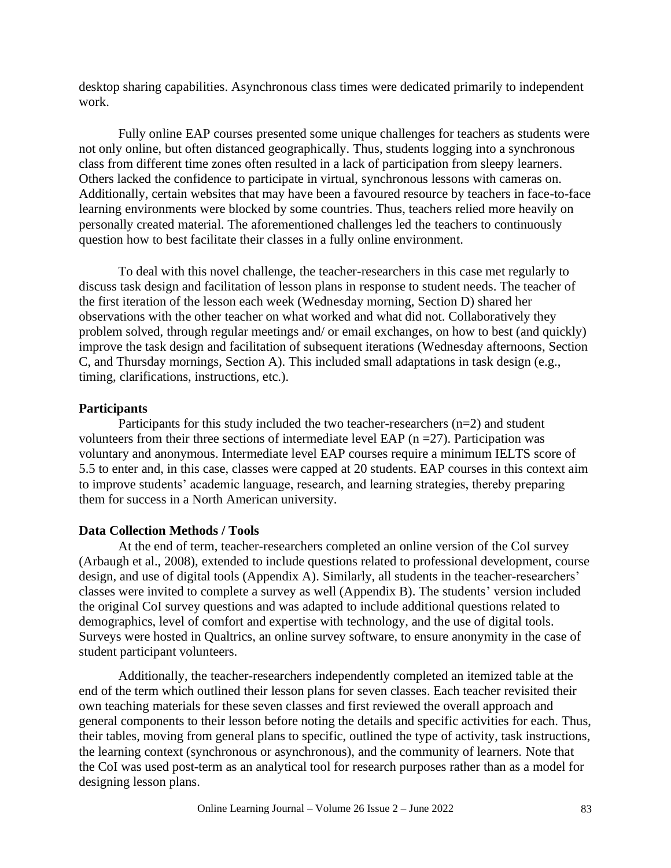desktop sharing capabilities. Asynchronous class times were dedicated primarily to independent work.

Fully online EAP courses presented some unique challenges for teachers as students were not only online, but often distanced geographically. Thus, students logging into a synchronous class from different time zones often resulted in a lack of participation from sleepy learners. Others lacked the confidence to participate in virtual, synchronous lessons with cameras on. Additionally, certain websites that may have been a favoured resource by teachers in face-to-face learning environments were blocked by some countries. Thus, teachers relied more heavily on personally created material. The aforementioned challenges led the teachers to continuously question how to best facilitate their classes in a fully online environment.

To deal with this novel challenge, the teacher-researchers in this case met regularly to discuss task design and facilitation of lesson plans in response to student needs. The teacher of the first iteration of the lesson each week (Wednesday morning, Section D) shared her observations with the other teacher on what worked and what did not. Collaboratively they problem solved, through regular meetings and/ or email exchanges, on how to best (and quickly) improve the task design and facilitation of subsequent iterations (Wednesday afternoons, Section C, and Thursday mornings, Section A). This included small adaptations in task design (e.g., timing, clarifications, instructions, etc.).

#### **Participants**

Participants for this study included the two teacher-researchers  $(n=2)$  and student volunteers from their three sections of intermediate level EAP ( $n = 27$ ). Participation was voluntary and anonymous. Intermediate level EAP courses require a minimum IELTS score of 5.5 to enter and, in this case, classes were capped at 20 students. EAP courses in this context aim to improve students' academic language, research, and learning strategies, thereby preparing them for success in a North American university.

#### **Data Collection Methods / Tools**

At the end of term, teacher-researchers completed an online version of the CoI survey (Arbaugh et al., 2008), extended to include questions related to professional development, course design, and use of digital tools (Appendix A). Similarly, all students in the teacher-researchers' classes were invited to complete a survey as well (Appendix B). The students' version included the original CoI survey questions and was adapted to include additional questions related to demographics, level of comfort and expertise with technology, and the use of digital tools. Surveys were hosted in Qualtrics, an online survey software, to ensure anonymity in the case of student participant volunteers.

Additionally, the teacher-researchers independently completed an itemized table at the end of the term which outlined their lesson plans for seven classes. Each teacher revisited their own teaching materials for these seven classes and first reviewed the overall approach and general components to their lesson before noting the details and specific activities for each. Thus, their tables, moving from general plans to specific, outlined the type of activity, task instructions, the learning context (synchronous or asynchronous), and the community of learners. Note that the CoI was used post-term as an analytical tool for research purposes rather than as a model for designing lesson plans.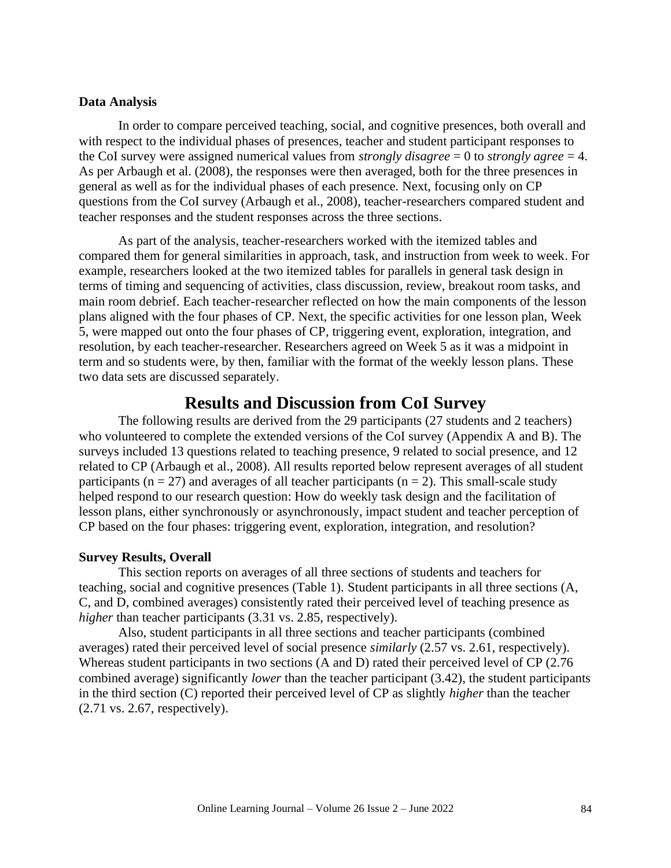#### **Data Analysis**

In order to compare perceived teaching, social, and cognitive presences, both overall and with respect to the individual phases of presences, teacher and student participant responses to the CoI survey were assigned numerical values from *strongly disagree* = 0 to *strongly agree* = 4. As per Arbaugh et al. (2008), the responses were then averaged, both for the three presences in general as well as for the individual phases of each presence. Next, focusing only on CP questions from the CoI survey (Arbaugh et al., 2008), teacher-researchers compared student and teacher responses and the student responses across the three sections.

As part of the analysis, teacher-researchers worked with the itemized tables and compared them for general similarities in approach, task, and instruction from week to week. For example, researchers looked at the two itemized tables for parallels in general task design in terms of timing and sequencing of activities, class discussion, review, breakout room tasks, and main room debrief. Each teacher-researcher reflected on how the main components of the lesson plans aligned with the four phases of CP. Next, the specific activities for one lesson plan, Week 5, were mapped out onto the four phases of CP, triggering event, exploration, integration, and resolution, by each teacher-researcher. Researchers agreed on Week 5 as it was a midpoint in term and so students were, by then, familiar with the format of the weekly lesson plans. These two data sets are discussed separately.

# **Results and Discussion from CoI Survey**

The following results are derived from the 29 participants (27 students and 2 teachers) who volunteered to complete the extended versions of the CoI survey (Appendix A and B). The surveys included 13 questions related to teaching presence, 9 related to social presence, and 12 related to CP (Arbaugh et al., 2008). All results reported below represent averages of all student participants ( $n = 27$ ) and averages of all teacher participants ( $n = 2$ ). This small-scale study helped respond to our research question: How do weekly task design and the facilitation of lesson plans, either synchronously or asynchronously, impact student and teacher perception of CP based on the four phases: triggering event, exploration, integration, and resolution?

#### **Survey Results, Overall**

This section reports on averages of all three sections of students and teachers for teaching, social and cognitive presences (Table 1). Student participants in all three sections (A, C, and D, combined averages) consistently rated their perceived level of teaching presence as *higher* than teacher participants (3.31 vs. 2.85, respectively).

Also, student participants in all three sections and teacher participants (combined averages) rated their perceived level of social presence *similarly* (2.57 vs. 2.61, respectively). Whereas student participants in two sections (A and D) rated their perceived level of CP (2.76 combined average) significantly *lower* than the teacher participant (3.42), the student participants in the third section (C) reported their perceived level of CP as slightly *higher* than the teacher (2.71 vs. 2.67, respectively).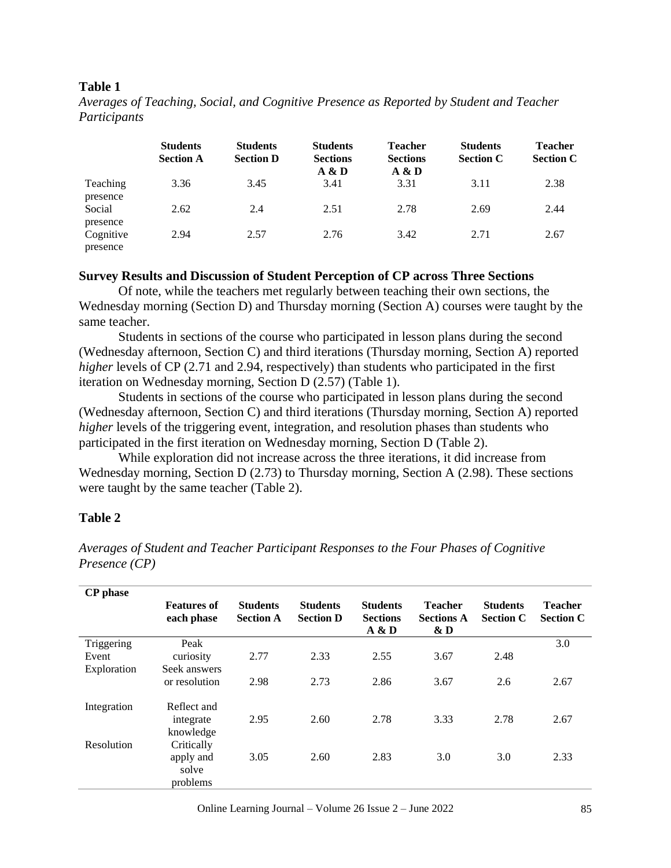#### **Table 1**

|                       | <b>Students</b><br><b>Section A</b> | <b>Students</b><br><b>Section D</b> | <b>Students</b><br><b>Sections</b><br>A & D | <b>Teacher</b><br><b>Sections</b><br>A & D | <b>Students</b><br><b>Section C</b> | <b>Teacher</b><br><b>Section C</b> |
|-----------------------|-------------------------------------|-------------------------------------|---------------------------------------------|--------------------------------------------|-------------------------------------|------------------------------------|
| Teaching              | 3.36                                | 3.45                                | 3.41                                        | 3.31                                       | 3.11                                | 2.38                               |
| presence<br>Social    | 2.62                                | 2.4                                 | 2.51                                        | 2.78                                       | 2.69                                | 2.44                               |
| presence<br>Cognitive | 2.94                                | 2.57                                | 2.76                                        | 3.42                                       | 2.71                                | 2.67                               |
| presence              |                                     |                                     |                                             |                                            |                                     |                                    |

*Averages of Teaching, Social, and Cognitive Presence as Reported by Student and Teacher Participants*

#### **Survey Results and Discussion of Student Perception of CP across Three Sections**

Of note, while the teachers met regularly between teaching their own sections, the Wednesday morning (Section D) and Thursday morning (Section A) courses were taught by the same teacher.

Students in sections of the course who participated in lesson plans during the second (Wednesday afternoon, Section C) and third iterations (Thursday morning, Section A) reported *higher* levels of CP (2.71 and 2.94, respectively) than students who participated in the first iteration on Wednesday morning, Section D (2.57) (Table 1).

Students in sections of the course who participated in lesson plans during the second (Wednesday afternoon, Section C) and third iterations (Thursday morning, Section A) reported *higher* levels of the triggering event, integration, and resolution phases than students who participated in the first iteration on Wednesday morning, Section D (Table 2).

While exploration did not increase across the three iterations, it did increase from Wednesday morning, Section D (2.73) to Thursday morning, Section A (2.98). These sections were taught by the same teacher (Table 2).

#### **Table 2**

*Averages of Student and Teacher Participant Responses to the Four Phases of Cognitive Presence (CP)*

| <b>CP</b> phase |                                  |                                     |                                     |                                             |                                               |                                     |                                    |
|-----------------|----------------------------------|-------------------------------------|-------------------------------------|---------------------------------------------|-----------------------------------------------|-------------------------------------|------------------------------------|
|                 | <b>Features of</b><br>each phase | <b>Students</b><br><b>Section A</b> | <b>Students</b><br><b>Section D</b> | <b>Students</b><br><b>Sections</b><br>A & D | <b>Teacher</b><br><b>Sections A</b><br>$\& D$ | <b>Students</b><br><b>Section C</b> | <b>Teacher</b><br><b>Section C</b> |
| Triggering      | Peak                             |                                     |                                     |                                             |                                               |                                     | 3.0                                |
| Event           | curiosity                        | 2.77                                | 2.33                                | 2.55                                        | 3.67                                          | 2.48                                |                                    |
| Exploration     | Seek answers                     |                                     |                                     |                                             |                                               |                                     |                                    |
|                 | or resolution                    | 2.98                                | 2.73                                | 2.86                                        | 3.67                                          | 2.6                                 | 2.67                               |
| Integration     | Reflect and                      |                                     |                                     |                                             |                                               |                                     |                                    |
|                 | integrate                        | 2.95                                | 2.60                                | 2.78                                        | 3.33                                          | 2.78                                | 2.67                               |
|                 | knowledge                        |                                     |                                     |                                             |                                               |                                     |                                    |
| Resolution      | Critically                       |                                     |                                     |                                             |                                               |                                     |                                    |
|                 | apply and                        | 3.05                                | 2.60                                | 2.83                                        | 3.0                                           | 3.0                                 | 2.33                               |
|                 | solve                            |                                     |                                     |                                             |                                               |                                     |                                    |
|                 | problems                         |                                     |                                     |                                             |                                               |                                     |                                    |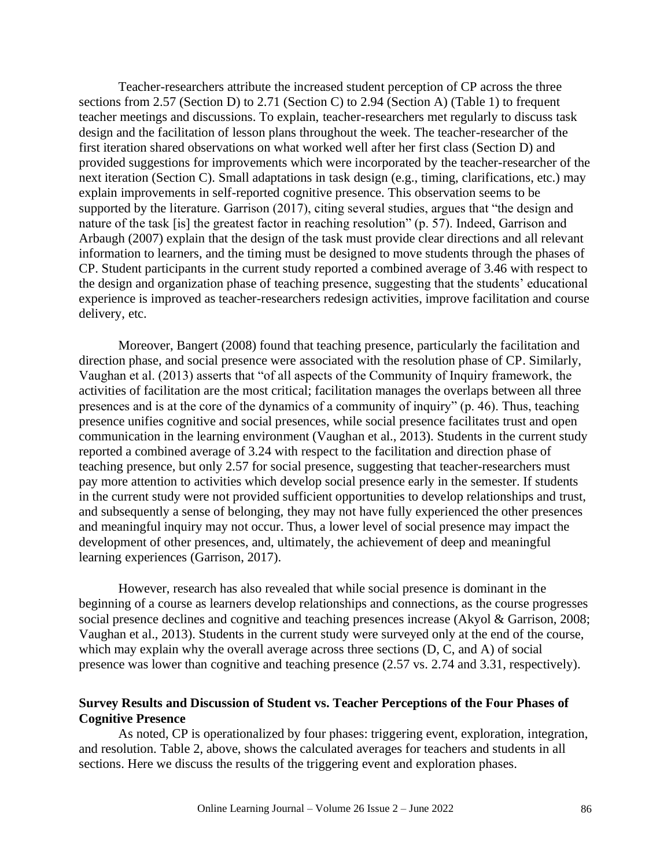Teacher-researchers attribute the increased student perception of CP across the three sections from 2.57 (Section D) to 2.71 (Section C) to 2.94 (Section A) (Table 1) to frequent teacher meetings and discussions. To explain, teacher-researchers met regularly to discuss task design and the facilitation of lesson plans throughout the week. The teacher-researcher of the first iteration shared observations on what worked well after her first class (Section D) and provided suggestions for improvements which were incorporated by the teacher-researcher of the next iteration (Section C). Small adaptations in task design (e.g., timing, clarifications, etc.) may explain improvements in self-reported cognitive presence. This observation seems to be supported by the literature. Garrison (2017), citing several studies, argues that "the design and nature of the task [is] the greatest factor in reaching resolution" (p. 57). Indeed, Garrison and Arbaugh (2007) explain that the design of the task must provide clear directions and all relevant information to learners, and the timing must be designed to move students through the phases of CP. Student participants in the current study reported a combined average of 3.46 with respect to the design and organization phase of teaching presence, suggesting that the students' educational experience is improved as teacher-researchers redesign activities, improve facilitation and course delivery, etc.

Moreover, Bangert (2008) found that teaching presence, particularly the facilitation and direction phase, and social presence were associated with the resolution phase of CP. Similarly, Vaughan et al. (2013) asserts that "of all aspects of the Community of Inquiry framework, the activities of facilitation are the most critical; facilitation manages the overlaps between all three presences and is at the core of the dynamics of a community of inquiry" (p. 46). Thus, teaching presence unifies cognitive and social presences, while social presence facilitates trust and open communication in the learning environment (Vaughan et al., 2013). Students in the current study reported a combined average of 3.24 with respect to the facilitation and direction phase of teaching presence, but only 2.57 for social presence, suggesting that teacher-researchers must pay more attention to activities which develop social presence early in the semester. If students in the current study were not provided sufficient opportunities to develop relationships and trust, and subsequently a sense of belonging, they may not have fully experienced the other presences and meaningful inquiry may not occur. Thus, a lower level of social presence may impact the development of other presences, and, ultimately, the achievement of deep and meaningful learning experiences (Garrison, 2017).

However, research has also revealed that while social presence is dominant in the beginning of a course as learners develop relationships and connections, as the course progresses social presence declines and cognitive and teaching presences increase (Akyol & Garrison, 2008; Vaughan et al., 2013). Students in the current study were surveyed only at the end of the course, which may explain why the overall average across three sections (D, C, and A) of social presence was lower than cognitive and teaching presence (2.57 vs. 2.74 and 3.31, respectively).

#### **Survey Results and Discussion of Student vs. Teacher Perceptions of the Four Phases of Cognitive Presence**

As noted, CP is operationalized by four phases: triggering event, exploration, integration, and resolution. Table 2, above, shows the calculated averages for teachers and students in all sections. Here we discuss the results of the triggering event and exploration phases.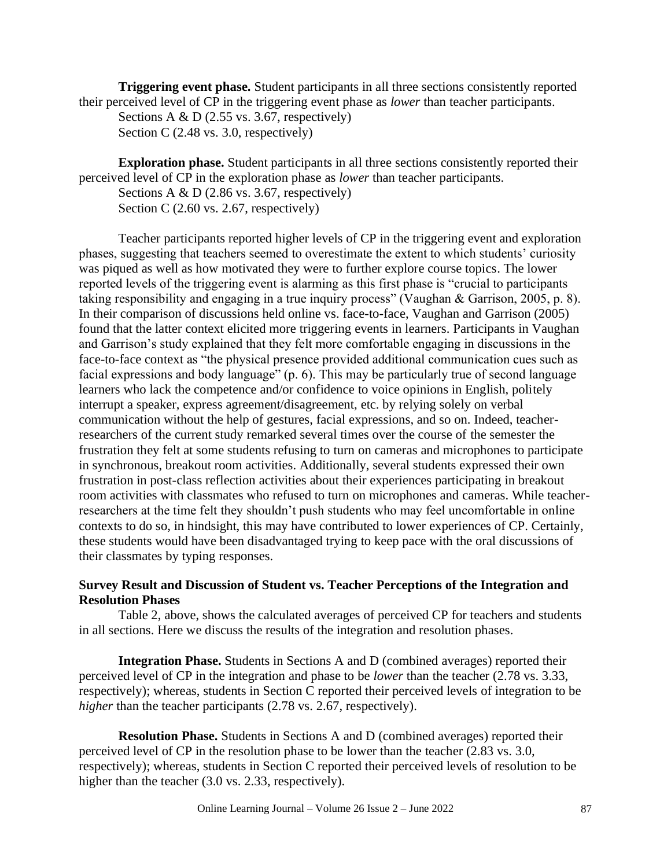**Triggering event phase.** Student participants in all three sections consistently reported their perceived level of CP in the triggering event phase as *lower* than teacher participants.

**Exploration phase.** Student participants in all three sections consistently reported their perceived level of CP in the exploration phase as *lower* than teacher participants.

Sections A & D (2.86 vs. 3.67, respectively)

Section C (2.60 vs. 2.67, respectively)

Teacher participants reported higher levels of CP in the triggering event and exploration phases, suggesting that teachers seemed to overestimate the extent to which students' curiosity was piqued as well as how motivated they were to further explore course topics. The lower reported levels of the triggering event is alarming as this first phase is "crucial to participants taking responsibility and engaging in a true inquiry process" (Vaughan & Garrison, 2005, p. 8). In their comparison of discussions held online vs. face-to-face, Vaughan and Garrison (2005) found that the latter context elicited more triggering events in learners. Participants in Vaughan and Garrison's study explained that they felt more comfortable engaging in discussions in the face-to-face context as "the physical presence provided additional communication cues such as facial expressions and body language" (p. 6). This may be particularly true of second language learners who lack the competence and/or confidence to voice opinions in English, politely interrupt a speaker, express agreement/disagreement, etc. by relying solely on verbal communication without the help of gestures, facial expressions, and so on. Indeed, teacherresearchers of the current study remarked several times over the course of the semester the frustration they felt at some students refusing to turn on cameras and microphones to participate in synchronous, breakout room activities. Additionally, several students expressed their own frustration in post-class reflection activities about their experiences participating in breakout room activities with classmates who refused to turn on microphones and cameras. While teacherresearchers at the time felt they shouldn't push students who may feel uncomfortable in online contexts to do so, in hindsight, this may have contributed to lower experiences of CP. Certainly, these students would have been disadvantaged trying to keep pace with the oral discussions of their classmates by typing responses.

#### **Survey Result and Discussion of Student vs. Teacher Perceptions of the Integration and Resolution Phases**

Table 2, above, shows the calculated averages of perceived CP for teachers and students in all sections. Here we discuss the results of the integration and resolution phases.

**Integration Phase.** Students in Sections A and D (combined averages) reported their perceived level of CP in the integration and phase to be *lower* than the teacher (2.78 vs. 3.33, respectively); whereas, students in Section C reported their perceived levels of integration to be *higher* than the teacher participants (2.78 vs. 2.67, respectively).

**Resolution Phase.** Students in Sections A and D (combined averages) reported their perceived level of CP in the resolution phase to be lower than the teacher (2.83 vs. 3.0, respectively); whereas, students in Section C reported their perceived levels of resolution to be higher than the teacher (3.0 vs. 2.33, respectively).

Sections A  $& D$  (2.55 vs. 3.67, respectively) Section C (2.48 vs. 3.0, respectively)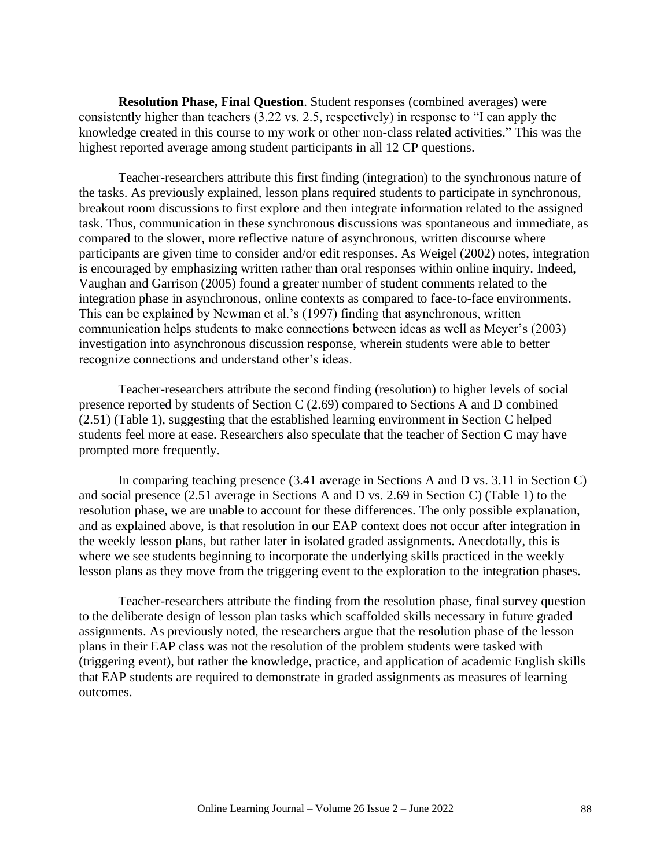**Resolution Phase, Final Question**. Student responses (combined averages) were consistently higher than teachers (3.22 vs. 2.5, respectively) in response to "I can apply the knowledge created in this course to my work or other non-class related activities." This was the highest reported average among student participants in all 12 CP questions.

Teacher-researchers attribute this first finding (integration) to the synchronous nature of the tasks. As previously explained, lesson plans required students to participate in synchronous, breakout room discussions to first explore and then integrate information related to the assigned task. Thus, communication in these synchronous discussions was spontaneous and immediate, as compared to the slower, more reflective nature of asynchronous, written discourse where participants are given time to consider and/or edit responses. As Weigel (2002) notes, integration is encouraged by emphasizing written rather than oral responses within online inquiry. Indeed, Vaughan and Garrison (2005) found a greater number of student comments related to the integration phase in asynchronous, online contexts as compared to face-to-face environments. This can be explained by Newman et al.'s (1997) finding that asynchronous, written communication helps students to make connections between ideas as well as Meyer's (2003) investigation into asynchronous discussion response, wherein students were able to better recognize connections and understand other's ideas.

Teacher-researchers attribute the second finding (resolution) to higher levels of social presence reported by students of Section C (2.69) compared to Sections A and D combined (2.51) (Table 1), suggesting that the established learning environment in Section C helped students feel more at ease. Researchers also speculate that the teacher of Section C may have prompted more frequently.

In comparing teaching presence (3.41 average in Sections A and D vs. 3.11 in Section C) and social presence (2.51 average in Sections A and D vs. 2.69 in Section C) (Table 1) to the resolution phase, we are unable to account for these differences. The only possible explanation, and as explained above, is that resolution in our EAP context does not occur after integration in the weekly lesson plans, but rather later in isolated graded assignments. Anecdotally, this is where we see students beginning to incorporate the underlying skills practiced in the weekly lesson plans as they move from the triggering event to the exploration to the integration phases.

Teacher-researchers attribute the finding from the resolution phase, final survey question to the deliberate design of lesson plan tasks which scaffolded skills necessary in future graded assignments. As previously noted, the researchers argue that the resolution phase of the lesson plans in their EAP class was not the resolution of the problem students were tasked with (triggering event), but rather the knowledge, practice, and application of academic English skills that EAP students are required to demonstrate in graded assignments as measures of learning outcomes.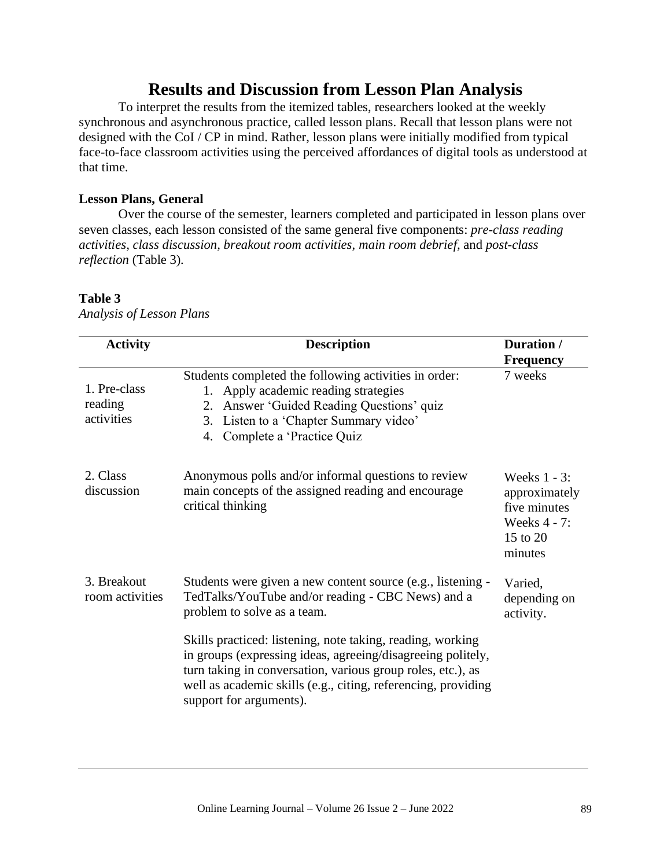# **Results and Discussion from Lesson Plan Analysis**

To interpret the results from the itemized tables, researchers looked at the weekly synchronous and asynchronous practice, called lesson plans. Recall that lesson plans were not designed with the CoI / CP in mind. Rather, lesson plans were initially modified from typical face-to-face classroom activities using the perceived affordances of digital tools as understood at that time.

#### **Lesson Plans, General**

Over the course of the semester, learners completed and participated in lesson plans over seven classes, each lesson consisted of the same general five components: *pre-class reading activities, class discussion, breakout room activities, main room debrief,* and *post-class reflection* (Table 3)*.* 

## **Table 3**

| <b>Activity</b>                       | <b>Description</b>                                                                                                                                                                                                                                                                   | Duration /<br><b>Frequency</b>                                                          |
|---------------------------------------|--------------------------------------------------------------------------------------------------------------------------------------------------------------------------------------------------------------------------------------------------------------------------------------|-----------------------------------------------------------------------------------------|
| 1. Pre-class<br>reading<br>activities | Students completed the following activities in order:<br>1. Apply academic reading strategies<br>2. Answer 'Guided Reading Questions' quiz<br>3. Listen to a 'Chapter Summary video'<br>4. Complete a 'Practice Quiz                                                                 | 7 weeks                                                                                 |
| 2. Class<br>discussion                | Anonymous polls and/or informal questions to review<br>main concepts of the assigned reading and encourage<br>critical thinking                                                                                                                                                      | Weeks $1 - 3$ :<br>approximately<br>five minutes<br>Weeks 4 - 7:<br>15 to 20<br>minutes |
| 3. Breakout<br>room activities        | Students were given a new content source (e.g., listening -<br>TedTalks/YouTube and/or reading - CBC News) and a<br>problem to solve as a team.                                                                                                                                      | Varied,<br>depending on<br>activity.                                                    |
|                                       | Skills practiced: listening, note taking, reading, working<br>in groups (expressing ideas, agreeing/disagreeing politely,<br>turn taking in conversation, various group roles, etc.), as<br>well as academic skills (e.g., citing, referencing, providing<br>support for arguments). |                                                                                         |

*Analysis of Lesson Plans*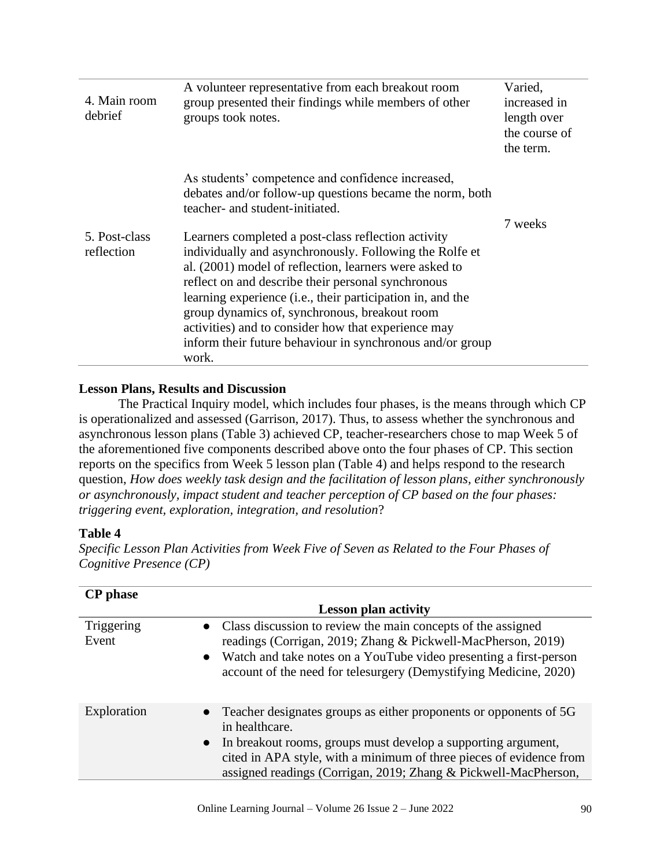| 4. Main room<br>debrief     | A volunteer representative from each breakout room<br>group presented their findings while members of other<br>groups took notes.                                                                                                                                                                                                                                                                                                                                          | Varied,<br>increased in<br>length over<br>the course of<br>the term. |
|-----------------------------|----------------------------------------------------------------------------------------------------------------------------------------------------------------------------------------------------------------------------------------------------------------------------------------------------------------------------------------------------------------------------------------------------------------------------------------------------------------------------|----------------------------------------------------------------------|
|                             | As students' competence and confidence increased,<br>debates and/or follow-up questions became the norm, both<br>teacher- and student-initiated.                                                                                                                                                                                                                                                                                                                           |                                                                      |
| 5. Post-class<br>reflection | Learners completed a post-class reflection activity<br>individually and asynchronously. Following the Rolfe et<br>al. (2001) model of reflection, learners were asked to<br>reflect on and describe their personal synchronous<br>learning experience (i.e., their participation in, and the<br>group dynamics of, synchronous, breakout room<br>activities) and to consider how that experience may<br>inform their future behaviour in synchronous and/or group<br>work. | 7 weeks                                                              |

#### **Lesson Plans, Results and Discussion**

The Practical Inquiry model, which includes four phases, is the means through which CP is operationalized and assessed (Garrison, 2017). Thus, to assess whether the synchronous and asynchronous lesson plans (Table 3) achieved CP, teacher-researchers chose to map Week 5 of the aforementioned five components described above onto the four phases of CP. This section reports on the specifics from Week 5 lesson plan (Table 4) and helps respond to the research question, *How does weekly task design and the facilitation of lesson plans, either synchronously or asynchronously, impact student and teacher perception of CP based on the four phases: triggering event, exploration, integration, and resolution*?

## **Table 4**

*Specific Lesson Plan Activities from Week Five of Seven as Related to the Four Phases of Cognitive Presence (CP)*

| <b>CP</b> phase     |                                                                                                                                                                                                                                                                                                               |
|---------------------|---------------------------------------------------------------------------------------------------------------------------------------------------------------------------------------------------------------------------------------------------------------------------------------------------------------|
|                     | <b>Lesson plan activity</b>                                                                                                                                                                                                                                                                                   |
| Triggering<br>Event | • Class discussion to review the main concepts of the assigned<br>readings (Corrigan, 2019; Zhang & Pickwell-MacPherson, 2019)<br>• Watch and take notes on a YouTube video presenting a first-person<br>account of the need for telesurgery (Demystifying Medicine, 2020)                                    |
| Exploration         | Teacher designates groups as either proponents or opponents of 5G<br>$\bullet$<br>in healthcare.<br>• In breakout rooms, groups must develop a supporting argument,<br>cited in APA style, with a minimum of three pieces of evidence from<br>assigned readings (Corrigan, 2019; Zhang & Pickwell-MacPherson, |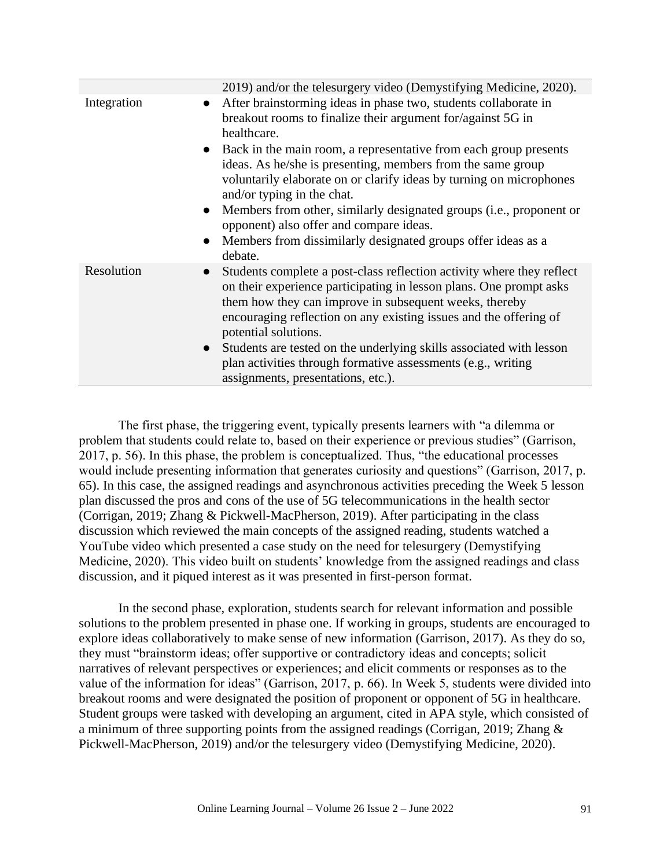|             | 2019) and/or the telesurgery video (Demystifying Medicine, 2020).                                                                                                                                                                                                                                                                                                                                                                                                                                                                                                                                                                      |
|-------------|----------------------------------------------------------------------------------------------------------------------------------------------------------------------------------------------------------------------------------------------------------------------------------------------------------------------------------------------------------------------------------------------------------------------------------------------------------------------------------------------------------------------------------------------------------------------------------------------------------------------------------------|
| Integration | After brainstorming ideas in phase two, students collaborate in<br>$\bullet$<br>breakout rooms to finalize their argument for/against 5G in<br>healthcare.<br>Back in the main room, a representative from each group presents<br>$\bullet$<br>ideas. As he/she is presenting, members from the same group<br>voluntarily elaborate on or clarify ideas by turning on microphones<br>and/or typing in the chat.<br>Members from other, similarly designated groups (i.e., proponent or<br>$\bullet$<br>opponent) also offer and compare ideas.<br>Members from dissimilarly designated groups offer ideas as a<br>$\bullet$<br>debate. |
| Resolution  | Students complete a post-class reflection activity where they reflect<br>$\bullet$<br>on their experience participating in lesson plans. One prompt asks<br>them how they can improve in subsequent weeks, thereby<br>encouraging reflection on any existing issues and the offering of<br>potential solutions.<br>Students are tested on the underlying skills associated with lesson<br>$\bullet$<br>plan activities through formative assessments (e.g., writing<br>assignments, presentations, etc.).                                                                                                                              |

The first phase, the triggering event, typically presents learners with "a dilemma or problem that students could relate to, based on their experience or previous studies" (Garrison, 2017, p. 56). In this phase, the problem is conceptualized. Thus, "the educational processes would include presenting information that generates curiosity and questions" (Garrison, 2017, p. 65). In this case, the assigned readings and asynchronous activities preceding the Week 5 lesson plan discussed the pros and cons of the use of 5G telecommunications in the health sector (Corrigan, 2019; Zhang & Pickwell-MacPherson, 2019). After participating in the class discussion which reviewed the main concepts of the assigned reading, students watched a YouTube video which presented a case study on the need for telesurgery (Demystifying Medicine, 2020). This video built on students' knowledge from the assigned readings and class discussion, and it piqued interest as it was presented in first-person format.

In the second phase, exploration, students search for relevant information and possible solutions to the problem presented in phase one. If working in groups, students are encouraged to explore ideas collaboratively to make sense of new information (Garrison, 2017). As they do so, they must "brainstorm ideas; offer supportive or contradictory ideas and concepts; solicit narratives of relevant perspectives or experiences; and elicit comments or responses as to the value of the information for ideas" (Garrison, 2017, p. 66). In Week 5, students were divided into breakout rooms and were designated the position of proponent or opponent of 5G in healthcare. Student groups were tasked with developing an argument, cited in APA style, which consisted of a minimum of three supporting points from the assigned readings (Corrigan, 2019; Zhang & Pickwell-MacPherson, 2019) and/or the telesurgery video (Demystifying Medicine, 2020).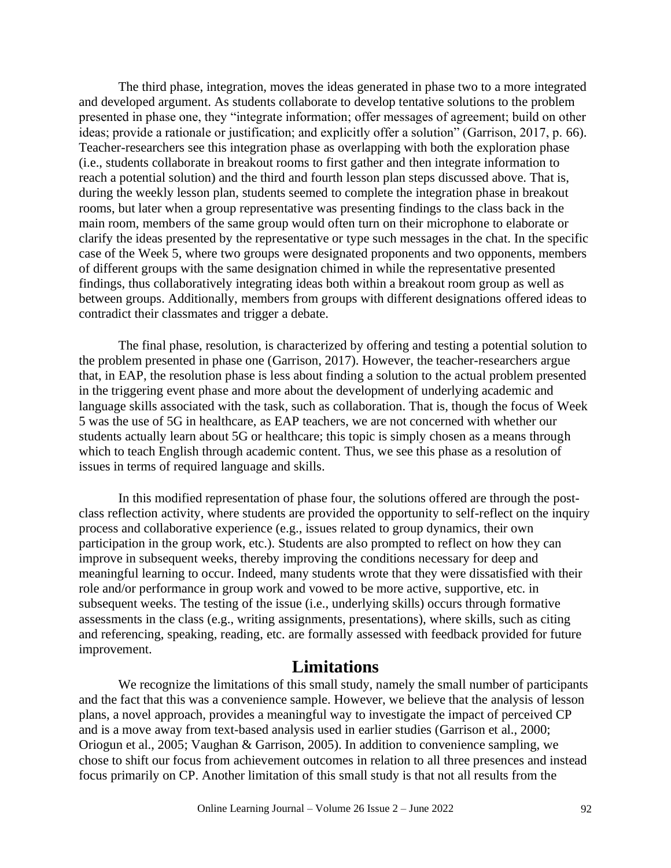The third phase, integration, moves the ideas generated in phase two to a more integrated and developed argument. As students collaborate to develop tentative solutions to the problem presented in phase one, they "integrate information; offer messages of agreement; build on other ideas; provide a rationale or justification; and explicitly offer a solution" (Garrison, 2017, p. 66). Teacher-researchers see this integration phase as overlapping with both the exploration phase (i.e., students collaborate in breakout rooms to first gather and then integrate information to reach a potential solution) and the third and fourth lesson plan steps discussed above. That is, during the weekly lesson plan, students seemed to complete the integration phase in breakout rooms, but later when a group representative was presenting findings to the class back in the main room, members of the same group would often turn on their microphone to elaborate or clarify the ideas presented by the representative or type such messages in the chat. In the specific case of the Week 5, where two groups were designated proponents and two opponents, members of different groups with the same designation chimed in while the representative presented findings, thus collaboratively integrating ideas both within a breakout room group as well as between groups. Additionally, members from groups with different designations offered ideas to contradict their classmates and trigger a debate.

The final phase, resolution, is characterized by offering and testing a potential solution to the problem presented in phase one (Garrison, 2017). However, the teacher-researchers argue that, in EAP, the resolution phase is less about finding a solution to the actual problem presented in the triggering event phase and more about the development of underlying academic and language skills associated with the task, such as collaboration. That is, though the focus of Week 5 was the use of 5G in healthcare, as EAP teachers, we are not concerned with whether our students actually learn about 5G or healthcare; this topic is simply chosen as a means through which to teach English through academic content. Thus, we see this phase as a resolution of issues in terms of required language and skills.

In this modified representation of phase four, the solutions offered are through the postclass reflection activity, where students are provided the opportunity to self-reflect on the inquiry process and collaborative experience (e.g., issues related to group dynamics, their own participation in the group work, etc.). Students are also prompted to reflect on how they can improve in subsequent weeks, thereby improving the conditions necessary for deep and meaningful learning to occur. Indeed, many students wrote that they were dissatisfied with their role and/or performance in group work and vowed to be more active, supportive, etc. in subsequent weeks. The testing of the issue (i.e., underlying skills) occurs through formative assessments in the class (e.g., writing assignments, presentations), where skills, such as citing and referencing, speaking, reading, etc. are formally assessed with feedback provided for future improvement.

# **Limitations**

We recognize the limitations of this small study, namely the small number of participants and the fact that this was a convenience sample. However, we believe that the analysis of lesson plans, a novel approach, provides a meaningful way to investigate the impact of perceived CP and is a move away from text-based analysis used in earlier studies (Garrison et al., 2000; Oriogun et al., 2005; Vaughan & Garrison, 2005). In addition to convenience sampling, we chose to shift our focus from achievement outcomes in relation to all three presences and instead focus primarily on CP. Another limitation of this small study is that not all results from the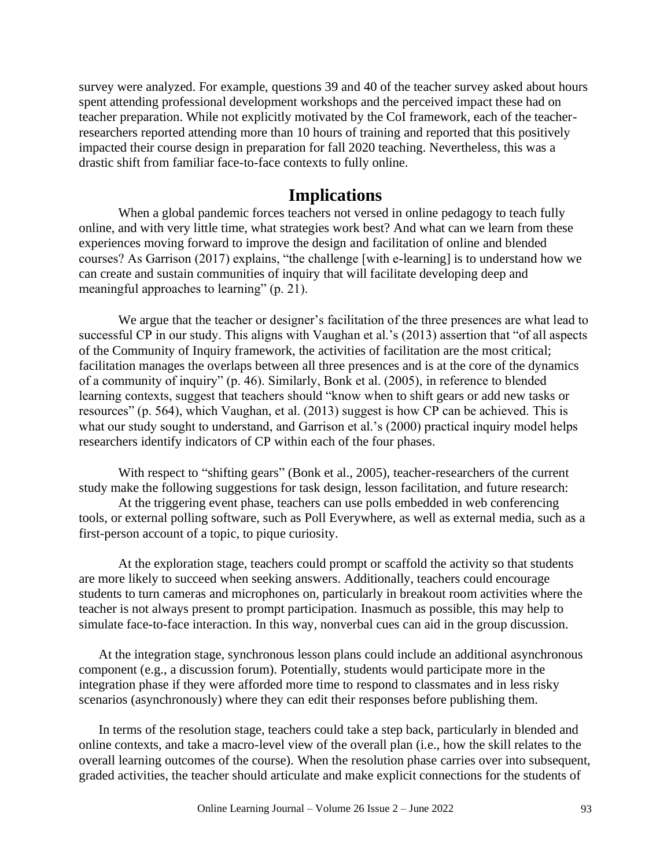survey were analyzed. For example, questions 39 and 40 of the teacher survey asked about hours spent attending professional development workshops and the perceived impact these had on teacher preparation. While not explicitly motivated by the CoI framework, each of the teacherresearchers reported attending more than 10 hours of training and reported that this positively impacted their course design in preparation for fall 2020 teaching. Nevertheless, this was a drastic shift from familiar face-to-face contexts to fully online.

# **Implications**

When a global pandemic forces teachers not versed in online pedagogy to teach fully online, and with very little time, what strategies work best? And what can we learn from these experiences moving forward to improve the design and facilitation of online and blended courses? As Garrison (2017) explains, "the challenge [with e-learning] is to understand how we can create and sustain communities of inquiry that will facilitate developing deep and meaningful approaches to learning" (p. 21).

We argue that the teacher or designer's facilitation of the three presences are what lead to successful CP in our study. This aligns with Vaughan et al.'s (2013) assertion that "of all aspects of the Community of Inquiry framework, the activities of facilitation are the most critical; facilitation manages the overlaps between all three presences and is at the core of the dynamics of a community of inquiry" (p. 46). Similarly, Bonk et al. (2005), in reference to blended learning contexts, suggest that teachers should "know when to shift gears or add new tasks or resources" (p. 564), which Vaughan, et al. (2013) suggest is how CP can be achieved. This is what our study sought to understand, and Garrison et al.'s (2000) practical inquiry model helps researchers identify indicators of CP within each of the four phases.

With respect to "shifting gears" (Bonk et al., 2005), teacher-researchers of the current study make the following suggestions for task design, lesson facilitation, and future research:

At the triggering event phase, teachers can use polls embedded in web conferencing tools, or external polling software, such as Poll Everywhere, as well as external media, such as a first-person account of a topic, to pique curiosity.

At the exploration stage, teachers could prompt or scaffold the activity so that students are more likely to succeed when seeking answers. Additionally, teachers could encourage students to turn cameras and microphones on, particularly in breakout room activities where the teacher is not always present to prompt participation. Inasmuch as possible, this may help to simulate face-to-face interaction. In this way, nonverbal cues can aid in the group discussion.

At the integration stage, synchronous lesson plans could include an additional asynchronous component (e.g., a discussion forum). Potentially, students would participate more in the integration phase if they were afforded more time to respond to classmates and in less risky scenarios (asynchronously) where they can edit their responses before publishing them.

In terms of the resolution stage, teachers could take a step back, particularly in blended and online contexts, and take a macro-level view of the overall plan (i.e., how the skill relates to the overall learning outcomes of the course). When the resolution phase carries over into subsequent, graded activities, the teacher should articulate and make explicit connections for the students of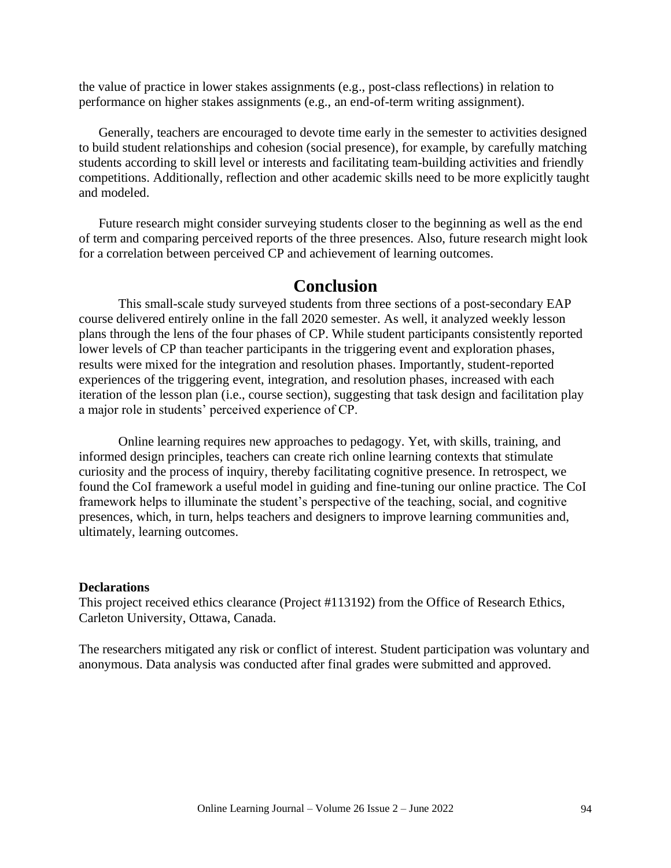the value of practice in lower stakes assignments (e.g., post-class reflections) in relation to performance on higher stakes assignments (e.g., an end-of-term writing assignment).

Generally, teachers are encouraged to devote time early in the semester to activities designed to build student relationships and cohesion (social presence), for example, by carefully matching students according to skill level or interests and facilitating team-building activities and friendly competitions. Additionally, reflection and other academic skills need to be more explicitly taught and modeled.

Future research might consider surveying students closer to the beginning as well as the end of term and comparing perceived reports of the three presences. Also, future research might look for a correlation between perceived CP and achievement of learning outcomes.

## **Conclusion**

This small-scale study surveyed students from three sections of a post-secondary EAP course delivered entirely online in the fall 2020 semester. As well, it analyzed weekly lesson plans through the lens of the four phases of CP. While student participants consistently reported lower levels of CP than teacher participants in the triggering event and exploration phases, results were mixed for the integration and resolution phases. Importantly, student-reported experiences of the triggering event, integration, and resolution phases, increased with each iteration of the lesson plan (i.e., course section), suggesting that task design and facilitation play a major role in students' perceived experience of CP.

Online learning requires new approaches to pedagogy. Yet, with skills, training, and informed design principles, teachers can create rich online learning contexts that stimulate curiosity and the process of inquiry, thereby facilitating cognitive presence. In retrospect, we found the CoI framework a useful model in guiding and fine-tuning our online practice. The CoI framework helps to illuminate the student's perspective of the teaching, social, and cognitive presences, which, in turn, helps teachers and designers to improve learning communities and, ultimately, learning outcomes.

#### **Declarations**

This project received ethics clearance (Project #113192) from the Office of Research Ethics, Carleton University, Ottawa, Canada.

The researchers mitigated any risk or conflict of interest. Student participation was voluntary and anonymous. Data analysis was conducted after final grades were submitted and approved.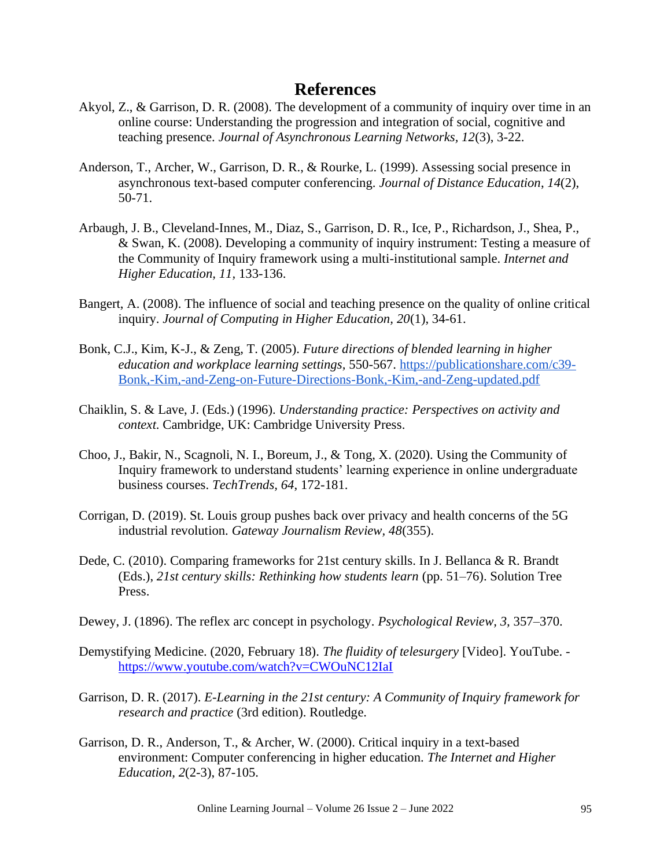# **References**

- Akyol, Z., & Garrison, D. R. (2008). The development of a community of inquiry over time in an online course: Understanding the progression and integration of social, cognitive and teaching presence. *Journal of Asynchronous Learning Networks, 12*(3), 3-22.
- Anderson, T., Archer, W., Garrison, D. R., & Rourke, L. (1999). Assessing social presence in asynchronous text-based computer conferencing. *Journal of Distance Education*, *14*(2), 50-71.
- Arbaugh, J. B., Cleveland-Innes, M., Diaz, S., Garrison, D. R., Ice, P., Richardson, J., Shea, P., & Swan, K. (2008). Developing a community of inquiry instrument: Testing a measure of the Community of Inquiry framework using a multi-institutional sample. *Internet and Higher Education, 11,* 133-136.
- Bangert, A. (2008). The influence of social and teaching presence on the quality of online critical inquiry. *Journal of Computing in Higher Education, 20*(1), 34-61.
- Bonk, C.J., Kim, K-J., & Zeng, T. (2005). *Future directions of blended learning in higher education and workplace learning settings,* 550-567. [https://publicationshare.com/c39-](https://publicationshare.com/c39-Bonk,-Kim,-and-Zeng-on-Future-Directions-Bonk,-Kim,-and-Zeng-updated.pdf) [Bonk,-Kim,-and-Zeng-on-Future-Directions-Bonk,-Kim,-and-Zeng-updated.pdf](https://publicationshare.com/c39-Bonk,-Kim,-and-Zeng-on-Future-Directions-Bonk,-Kim,-and-Zeng-updated.pdf)
- Chaiklin, S. & Lave, J. (Eds.) (1996). *Understanding practice: Perspectives on activity and context*. Cambridge, UK: Cambridge University Press.
- Choo, J., Bakir, N., Scagnoli, N. I., Boreum, J., & Tong, X. (2020). Using the Community of Inquiry framework to understand students' learning experience in online undergraduate business courses. *TechTrends, 64*, 172-181.
- Corrigan, D. (2019). St. Louis group pushes back over privacy and health concerns of the 5G industrial revolution. *Gateway Journalism Review, 48*(355).
- Dede, C. (2010). Comparing frameworks for 21st century skills. In J. Bellanca & R. Brandt (Eds.), *21st century skills: Rethinking how students learn* (pp. 51–76). Solution Tree Press.
- Dewey, J. (1896). The reflex arc concept in psychology. *Psychological Review, 3,* 357–370.
- Demystifying Medicine. (2020, February 18). *The fluidity of telesurgery* [Video]. YouTube. <https://www.youtube.com/watch?v=CWOuNC12IaI>
- Garrison, D. R. (2017). *E-Learning in the 21st century: A Community of Inquiry framework for research and practice* (3rd edition). Routledge.
- Garrison, D. R., Anderson, T., & Archer, W. (2000). Critical inquiry in a text-based environment: Computer conferencing in higher education. *The Internet and Higher Education, 2*(2-3), 87-105.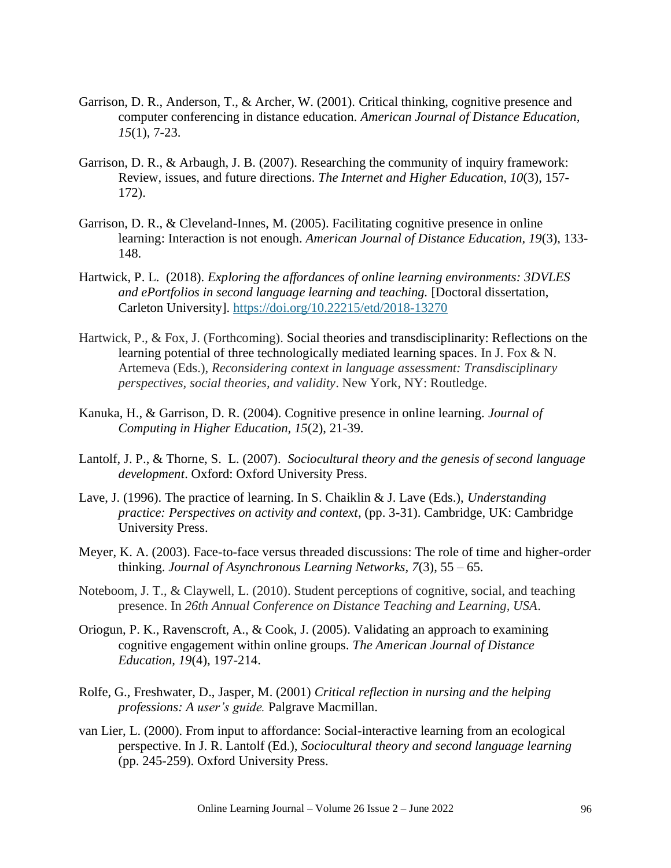- Garrison, D. R., Anderson, T., & Archer, W. (2001). Critical thinking, cognitive presence and computer conferencing in distance education. *American Journal of Distance Education, 15*(1), 7-23.
- Garrison, D. R., & Arbaugh, J. B. (2007). Researching the community of inquiry framework: Review, issues, and future directions. *The Internet and Higher Education, 10*(3), 157- 172).
- Garrison, D. R., & Cleveland-Innes, M. (2005). Facilitating cognitive presence in online learning: Interaction is not enough. *American Journal of Distance Education, 19*(3), 133- 148.
- Hartwick, P. L. (2018). *Exploring the affordances of online learning environments: 3DVLES and ePortfolios in second language learning and teaching.* [Doctoral dissertation, Carleton University]. <https://doi.org/10.22215/etd/2018-13270>
- Hartwick, P., & Fox, J. (Forthcoming). Social theories and transdisciplinarity: Reflections on the learning potential of three technologically mediated learning spaces. In J. Fox  $\& N$ . Artemeva (Eds.), *Reconsidering context in language assessment: Transdisciplinary perspectives, social theories, and validity*. New York, NY: Routledge.
- Kanuka, H., & Garrison, D. R. (2004). Cognitive presence in online learning. *Journal of Computing in Higher Education, 15*(2), 21-39.
- Lantolf, J. P., & Thorne, S. L. (2007). *Sociocultural theory and the genesis of second language development*. Oxford: Oxford University Press.
- Lave, J. (1996). The practice of learning. In S. Chaiklin & J. Lave (Eds.), *Understanding practice: Perspectives on activity and context*, (pp. 3-31). Cambridge, UK: Cambridge University Press.
- Meyer, K. A. (2003). Face-to-face versus threaded discussions: The role of time and higher-order thinking. *Journal of Asynchronous Learning Networks, 7*(3), 55 – 65.
- Noteboom, J. T., & Claywell, L. (2010). Student perceptions of cognitive, social, and teaching presence. In *26th Annual Conference on Distance Teaching and Learning, USA*.
- Oriogun, P. K., Ravenscroft, A., & Cook, J. (2005). Validating an approach to examining cognitive engagement within online groups. *The American Journal of Distance Education, 19*(4), 197-214.
- Rolfe, G., Freshwater, D., Jasper, M. (2001) *Critical reflection in nursing and the helping professions: A user's guide.* Palgrave Macmillan.
- van Lier, L. (2000). From input to affordance: Social-interactive learning from an ecological perspective. In J. R. Lantolf (Ed.), *Sociocultural theory and second language learning* (pp. 245-259). Oxford University Press.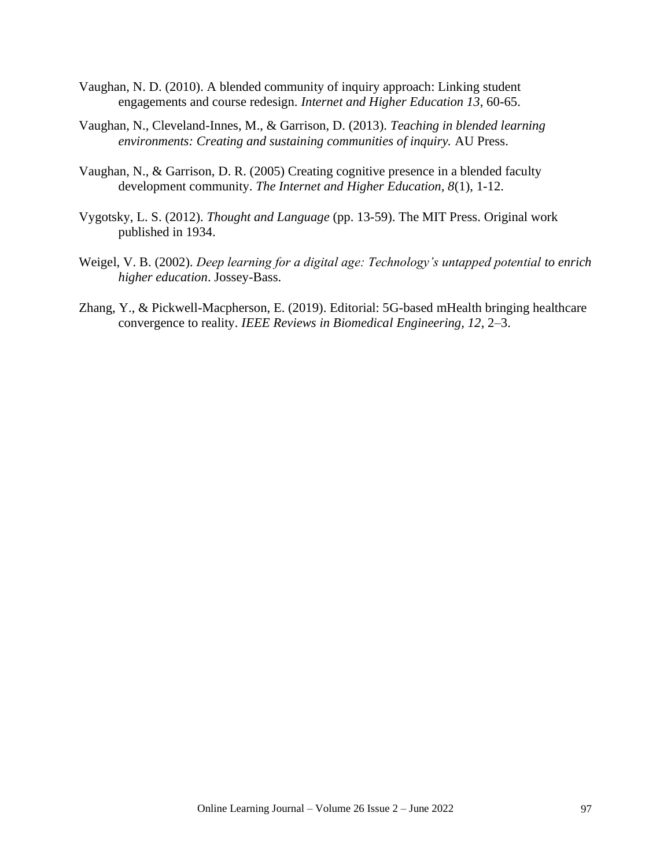- Vaughan, N. D. (2010). A blended community of inquiry approach: Linking student engagements and course redesign. *Internet and Higher Education 13*, 60-65.
- Vaughan, N., Cleveland-Innes, M., & Garrison, D. (2013). *Teaching in blended learning environments: Creating and sustaining communities of inquiry.* AU Press.
- Vaughan, N., & Garrison, D. R. (2005) Creating cognitive presence in a blended faculty development community. *The Internet and Higher Education, 8*(1), 1-12.
- Vygotsky, L. S. (2012). *Thought and Language* (pp. 13-59). The MIT Press. Original work published in 1934.
- Weigel, V. B. (2002). *Deep learning for a digital age: Technology's untapped potential to enrich higher education*. Jossey-Bass.
- Zhang, Y., & Pickwell-Macpherson, E. (2019). Editorial: 5G-based mHealth bringing healthcare convergence to reality. *IEEE Reviews in Biomedical Engineering, 12*, 2–3.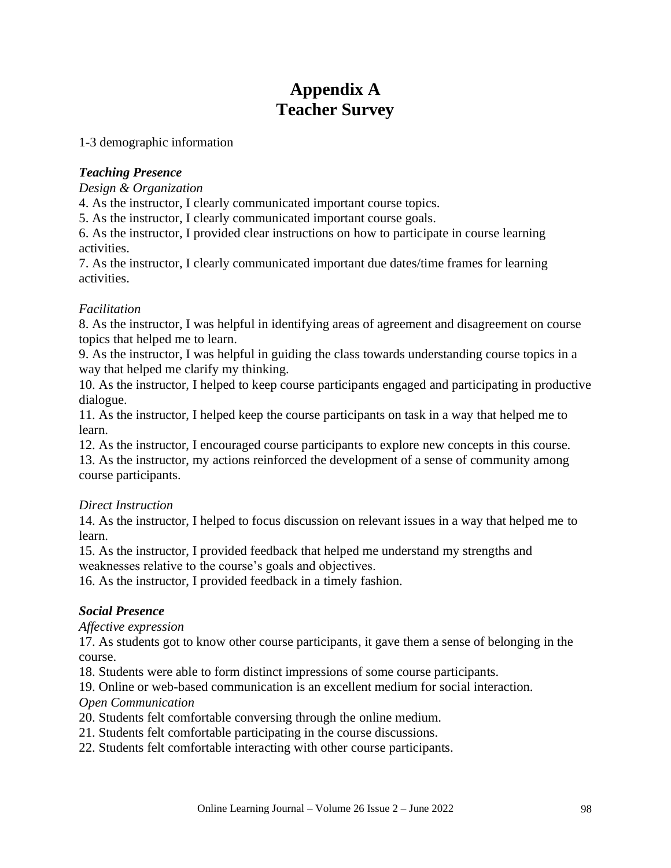# **Appendix A Teacher Survey**

1-3 demographic information

#### *Teaching Presence*

*Design & Organization*

4. As the instructor, I clearly communicated important course topics.

5. As the instructor, I clearly communicated important course goals.

6. As the instructor, I provided clear instructions on how to participate in course learning activities.

7. As the instructor, I clearly communicated important due dates/time frames for learning activities.

#### *Facilitation*

8. As the instructor, I was helpful in identifying areas of agreement and disagreement on course topics that helped me to learn.

9. As the instructor, I was helpful in guiding the class towards understanding course topics in a way that helped me clarify my thinking.

10. As the instructor, I helped to keep course participants engaged and participating in productive dialogue.

11. As the instructor, I helped keep the course participants on task in a way that helped me to learn.

12. As the instructor, I encouraged course participants to explore new concepts in this course.

13. As the instructor, my actions reinforced the development of a sense of community among course participants.

#### *Direct Instruction*

14. As the instructor, I helped to focus discussion on relevant issues in a way that helped me to learn.

15. As the instructor, I provided feedback that helped me understand my strengths and weaknesses relative to the course's goals and objectives.

16. As the instructor, I provided feedback in a timely fashion.

## *Social Presence*

*Affective expression*

17. As students got to know other course participants, it gave them a sense of belonging in the course.

18. Students were able to form distinct impressions of some course participants.

19. Online or web-based communication is an excellent medium for social interaction.

#### *Open Communication*

20. Students felt comfortable conversing through the online medium.

- 21. Students felt comfortable participating in the course discussions.
- 22. Students felt comfortable interacting with other course participants.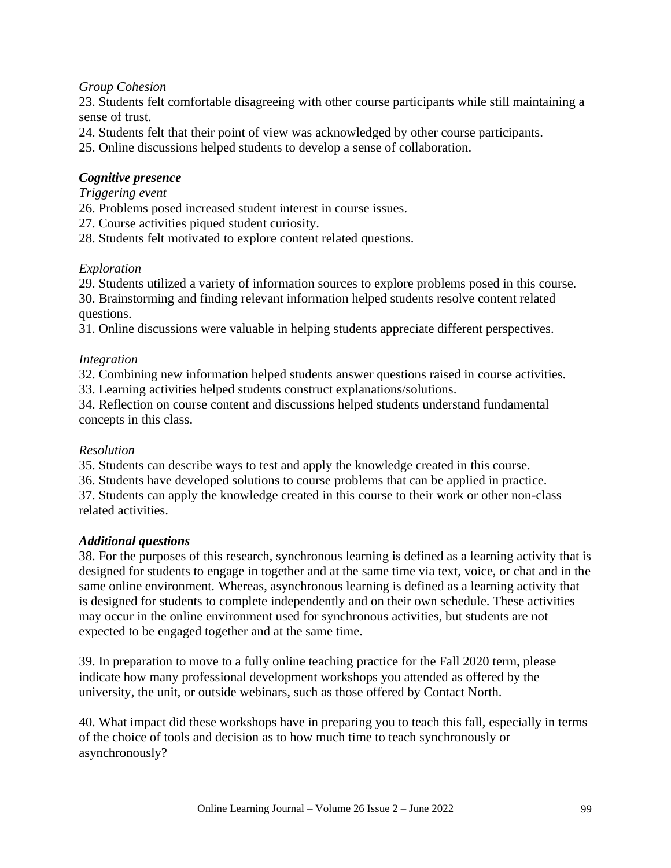### *Group Cohesion*

23. Students felt comfortable disagreeing with other course participants while still maintaining a sense of trust.

24. Students felt that their point of view was acknowledged by other course participants.

25. Online discussions helped students to develop a sense of collaboration.

### *Cognitive presence*

#### *Triggering event*

26. Problems posed increased student interest in course issues.

27. Course activities piqued student curiosity.

28. Students felt motivated to explore content related questions.

#### *Exploration*

29. Students utilized a variety of information sources to explore problems posed in this course. 30. Brainstorming and finding relevant information helped students resolve content related questions.

31. Online discussions were valuable in helping students appreciate different perspectives.

#### *Integration*

32. Combining new information helped students answer questions raised in course activities.

33. Learning activities helped students construct explanations/solutions.

34. Reflection on course content and discussions helped students understand fundamental concepts in this class.

#### *Resolution*

35. Students can describe ways to test and apply the knowledge created in this course.

36. Students have developed solutions to course problems that can be applied in practice.

37. Students can apply the knowledge created in this course to their work or other non-class related activities.

#### *Additional questions*

38. For the purposes of this research, synchronous learning is defined as a learning activity that is designed for students to engage in together and at the same time via text, voice, or chat and in the same online environment. Whereas, asynchronous learning is defined as a learning activity that is designed for students to complete independently and on their own schedule. These activities may occur in the online environment used for synchronous activities, but students are not expected to be engaged together and at the same time.

39. In preparation to move to a fully online teaching practice for the Fall 2020 term, please indicate how many professional development workshops you attended as offered by the university, the unit, or outside webinars, such as those offered by Contact North.

40. What impact did these workshops have in preparing you to teach this fall, especially in terms of the choice of tools and decision as to how much time to teach synchronously or asynchronously?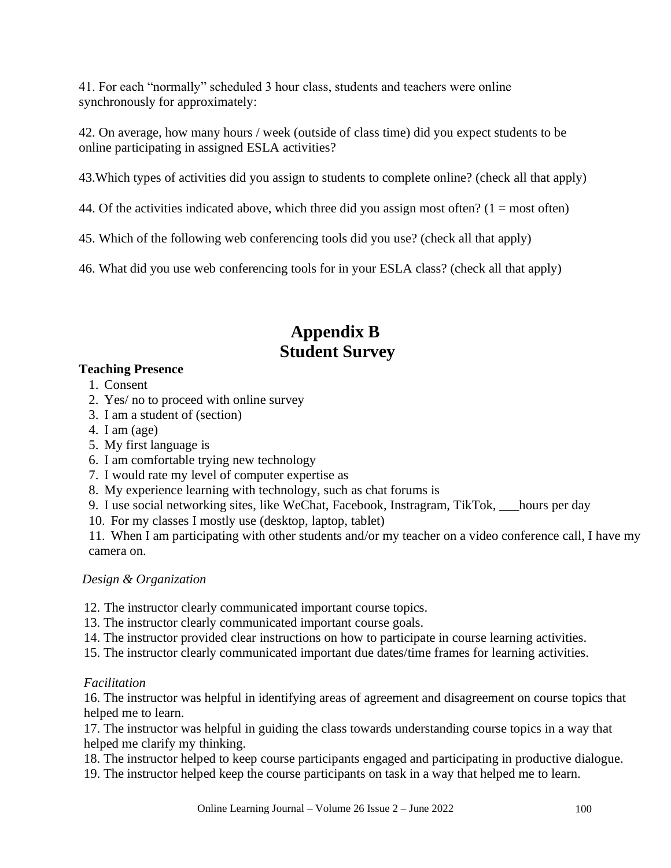41. For each "normally" scheduled 3 hour class, students and teachers were online synchronously for approximately:

42. On average, how many hours / week (outside of class time) did you expect students to be online participating in assigned ESLA activities?

43.Which types of activities did you assign to students to complete online? (check all that apply)

44. Of the activities indicated above, which three did you assign most often?  $(1 = \text{most often})$ 

45. Which of the following web conferencing tools did you use? (check all that apply)

46. What did you use web conferencing tools for in your ESLA class? (check all that apply)

# **Appendix B Student Survey**

## **Teaching Presence**

- 1. Consent
- 2. Yes/ no to proceed with online survey
- 3. I am a student of (section)
- 4. I am (age)
- 5. My first language is
- 6. I am comfortable trying new technology
- 7. I would rate my level of computer expertise as
- 8. My experience learning with technology, such as chat forums is
- 9. I use social networking sites, like WeChat, Facebook, Instragram, TikTok, \_\_\_hours per day
- 10. For my classes I mostly use (desktop, laptop, tablet)

11. When I am participating with other students and/or my teacher on a video conference call, I have my camera on.

## *Design & Organization*

- 12. The instructor clearly communicated important course topics.
- 13. The instructor clearly communicated important course goals.
- 14. The instructor provided clear instructions on how to participate in course learning activities.
- 15. The instructor clearly communicated important due dates/time frames for learning activities.

## *Facilitation*

16. The instructor was helpful in identifying areas of agreement and disagreement on course topics that helped me to learn.

17. The instructor was helpful in guiding the class towards understanding course topics in a way that helped me clarify my thinking.

18. The instructor helped to keep course participants engaged and participating in productive dialogue.

19. The instructor helped keep the course participants on task in a way that helped me to learn.